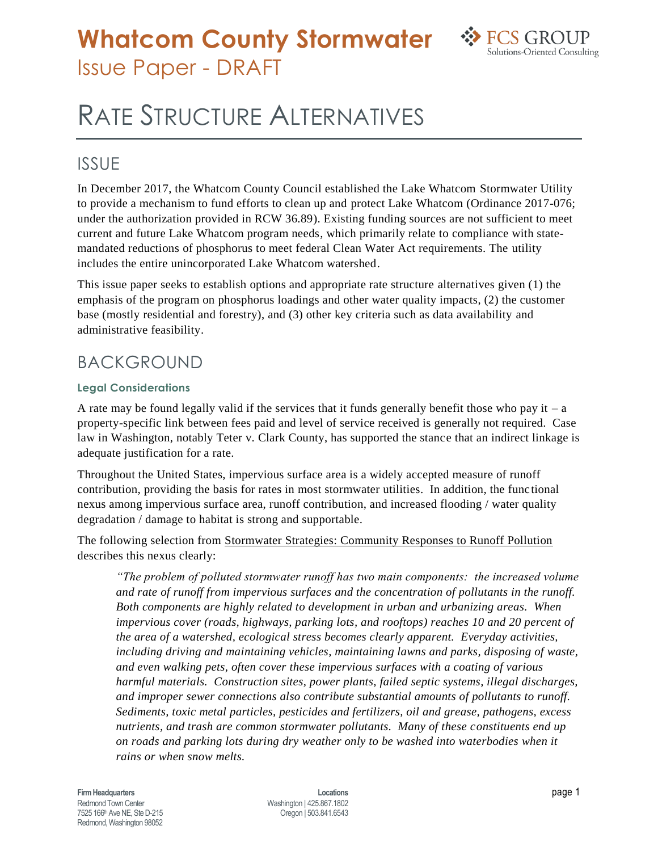## **Whatcom County Stormwater** Issue Paper - DRAFT



# RATE STRUCTURE ALTERNATIVES

### ISSUE

In December 2017, the Whatcom County Council established the Lake Whatcom Stormwater Utility to provide a mechanism to fund efforts to clean up and protect Lake Whatcom (Ordinance 2017-076; under the authorization provided in RCW 36.89). Existing funding sources are not sufficient to meet current and future Lake Whatcom program needs, which primarily relate to compliance with statemandated reductions of phosphorus to meet federal Clean Water Act requirements. The utility includes the entire unincorporated Lake Whatcom watershed.

This issue paper seeks to establish options and appropriate rate structure alternatives given (1) the emphasis of the program on phosphorus loadings and other water quality impacts, (2) the customer base (mostly residential and forestry), and (3) other key criteria such as data availability and administrative feasibility.

### BACKGROUND

#### **Legal Considerations**

A rate may be found legally valid if the services that it funds generally benefit those who pay it – a property-specific link between fees paid and level of service received is generally not required. Case law in Washington, notably Teter v. Clark County, has supported the stance that an indirect linkage is adequate justification for a rate.

Throughout the United States, impervious surface area is a widely accepted measure of runoff contribution, providing the basis for rates in most stormwater utilities. In addition, the func tional nexus among impervious surface area, runoff contribution, and increased flooding / water quality degradation / damage to habitat is strong and supportable.

The following selection from Stormwater Strategies: Community Responses to Runoff Pollution describes this nexus clearly:

*"The problem of polluted stormwater runoff has two main components: the increased volume and rate of runoff from impervious surfaces and the concentration of pollutants in the runoff. Both components are highly related to development in urban and urbanizing areas. When impervious cover (roads, highways, parking lots, and rooftops) reaches 10 and 20 percent of the area of a watershed, ecological stress becomes clearly apparent. Everyday activities, including driving and maintaining vehicles, maintaining lawns and parks, disposing of waste, and even walking pets, often cover these impervious surfaces with a coating of various harmful materials. Construction sites, power plants, failed septic systems, illegal discharges, and improper sewer connections also contribute substantial amounts of pollutants to runoff. Sediments, toxic metal particles, pesticides and fertilizers, oil and grease, pathogens, excess nutrients, and trash are common stormwater pollutants. Many of these constituents end up on roads and parking lots during dry weather only to be washed into waterbodies when it rains or when snow melts.*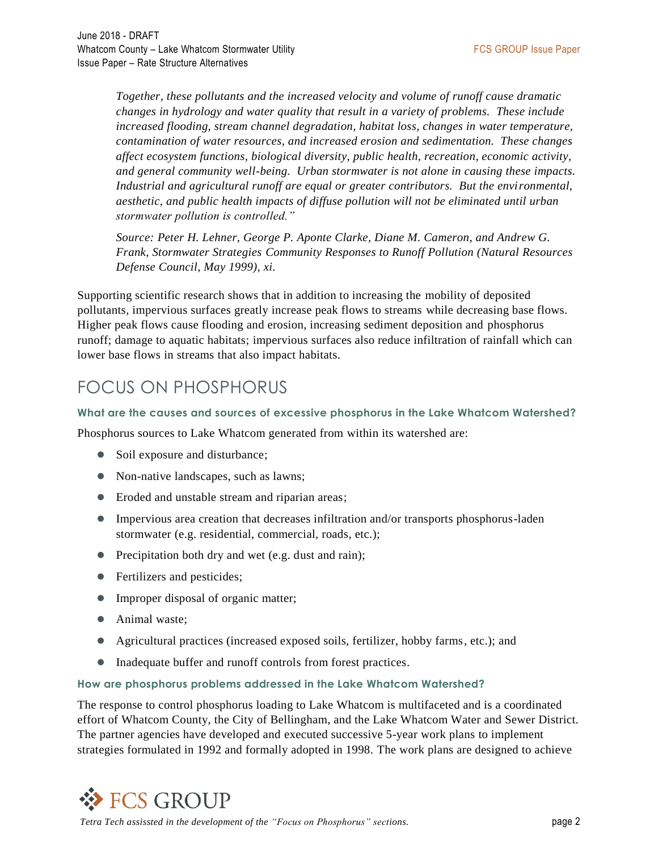*Together, these pollutants and the increased velocity and volume of runoff cause dramatic changes in hydrology and water quality that result in a variety of problems. These include increased flooding, stream channel degradation, habitat loss, changes in water temperature, contamination of water resources, and increased erosion and sedimentation. These changes affect ecosystem functions, biological diversity, public health, recreation, economic activity, and general community well-being. Urban stormwater is not alone in causing these impacts. Industrial and agricultural runoff are equal or greater contributors. But the environmental, aesthetic, and public health impacts of diffuse pollution will not be eliminated until urban stormwater pollution is controlled."*

*Source: Peter H. Lehner, George P. Aponte Clarke, Diane M. Cameron, and Andrew G. Frank, Stormwater Strategies Community Responses to Runoff Pollution (Natural Resources Defense Council, May 1999), xi.*

Supporting scientific research shows that in addition to increasing the mobility of deposited pollutants, impervious surfaces greatly increase peak flows to streams while decreasing base flows. Higher peak flows cause flooding and erosion, increasing sediment deposition and phosphorus runoff; damage to aquatic habitats; impervious surfaces also reduce infiltration of rainfall which can lower base flows in streams that also impact habitats.

### FOCUS ON PHOSPHORUS

#### **What are the causes and sources of excessive phosphorus in the Lake Whatcom Watershed?**

Phosphorus sources to Lake Whatcom generated from within its watershed are:

- Soil exposure and disturbance;
- Non-native landscapes, such as lawns;
- Eroded and unstable stream and riparian areas;
- Impervious area creation that decreases infiltration and/or transports phosphorus-laden stormwater (e.g. residential, commercial, roads, etc.);
- Precipitation both dry and wet (e.g. dust and rain);
- Fertilizers and pesticides;
- Improper disposal of organic matter;
- Animal waste;
- Agricultural practices (increased exposed soils, fertilizer, hobby farms, etc.); and
- Inadequate buffer and runoff controls from forest practices.

#### **How are phosphorus problems addressed in the Lake Whatcom Watershed?**

The response to control phosphorus loading to Lake Whatcom is multifaceted and is a coordinated effort of Whatcom County, the City of Bellingham, and the Lake Whatcom Water and Sewer District. The partner agencies have developed and executed successive 5-year work plans to implement strategies formulated in 1992 and formally adopted in 1998. The work plans are designed to achieve

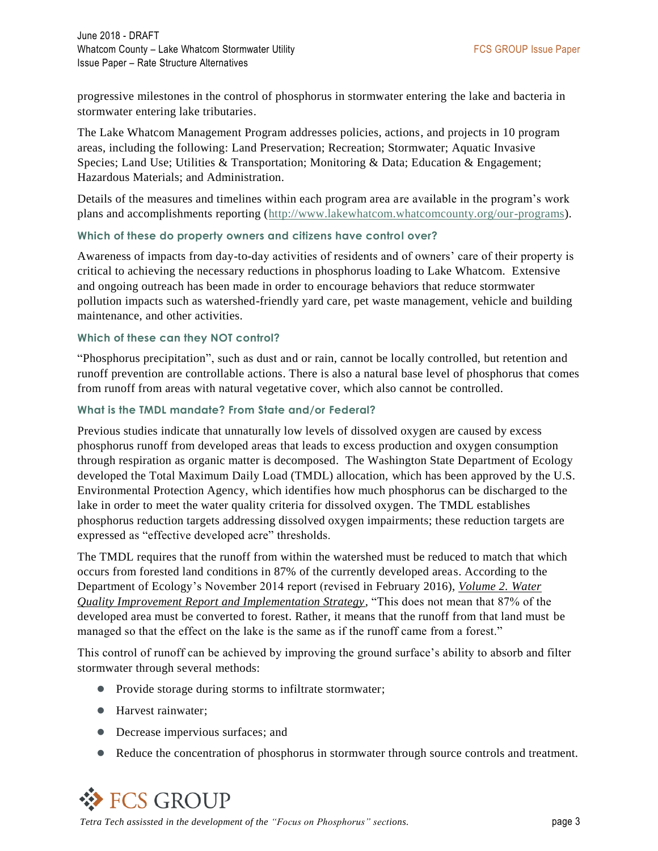progressive milestones in the control of phosphorus in stormwater entering the lake and bacteria in stormwater entering lake tributaries.

The Lake Whatcom Management Program addresses policies, actions, and projects in 10 program areas, including the following: Land Preservation; Recreation; Stormwater; Aquatic Invasive Species; Land Use; Utilities & Transportation; Monitoring & Data; Education & Engagement; Hazardous Materials; and Administration.

Details of the measures and timelines within each program area are available in the program's work plans and accomplishments reporting [\(http://www.lakewhatcom.whatcomcounty.org/our-programs\)](http://www.lakewhatcom.whatcomcounty.org/our-programs).

#### **Which of these do property owners and citizens have control over?**

Awareness of impacts from day-to-day activities of residents and of owners' care of their property is critical to achieving the necessary reductions in phosphorus loading to Lake Whatcom. Extensive and ongoing outreach has been made in order to encourage behaviors that reduce stormwater pollution impacts such as watershed-friendly yard care, pet waste management, vehicle and building maintenance, and other activities.

#### **Which of these can they NOT control?**

"Phosphorus precipitation", such as dust and or rain, cannot be locally controlled, but retention and runoff prevention are controllable actions. There is also a natural base level of phosphorus that comes from runoff from areas with natural vegetative cover, which also cannot be controlled.

#### **What is the TMDL mandate? From State and/or Federal?**

Previous studies indicate that unnaturally low levels of dissolved oxygen are caused by excess phosphorus runoff from developed areas that leads to excess production and oxygen consumption through respiration as organic matter is decomposed. The Washington State Department of Ecology developed the Total Maximum Daily Load (TMDL) allocation, which has been approved by the U.S. Environmental Protection Agency, which identifies how much phosphorus can be discharged to the lake in order to meet the water quality criteria for dissolved oxygen. The TMDL establishes phosphorus reduction targets addressing dissolved oxygen impairments; these reduction targets are expressed as "effective developed acre" thresholds.

The TMDL requires that the runoff from within the watershed must be reduced to match that which occurs from forested land conditions in 87% of the currently developed areas. According to the Department of Ecology's November 2014 report (revised in February 2016), *Volume 2. Water Quality Improvement Report and Implementation Strategy*, "This does not mean that 87% of the developed area must be converted to forest. Rather, it means that the runoff from that land must be managed so that the effect on the lake is the same as if the runoff came from a forest."

This control of runoff can be achieved by improving the ground surface's ability to absorb and filter stormwater through several methods:

- Provide storage during storms to infiltrate stormwater;
- Harvest rainwater;
- Decrease impervious surfaces; and
- Reduce the concentration of phosphorus in stormwater through source controls and treatment.

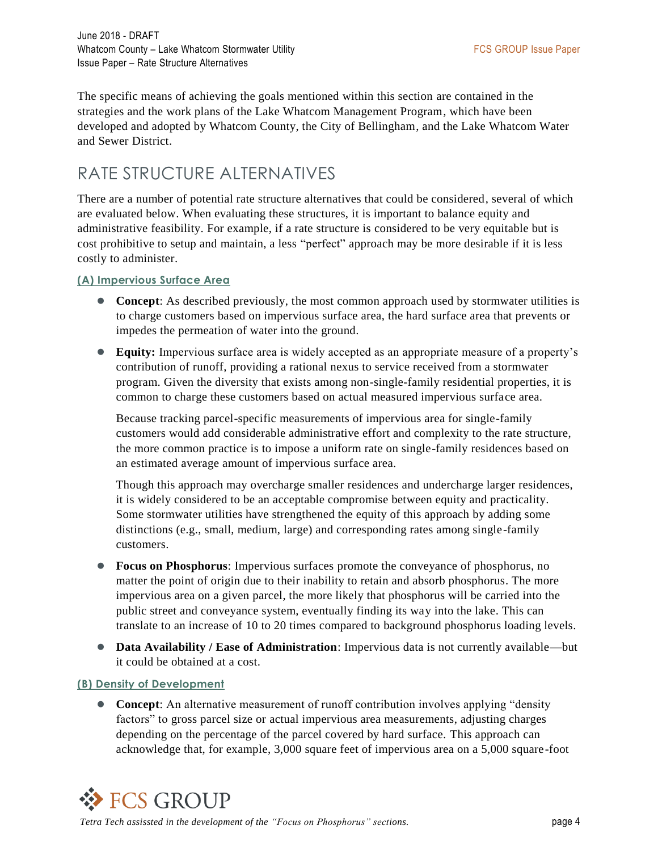The specific means of achieving the goals mentioned within this section are contained in the strategies and the work plans of the Lake Whatcom Management Program, which have been developed and adopted by Whatcom County, the City of Bellingham, and the Lake Whatcom Water and Sewer District.

### RATE STRUCTURE ALTERNATIVES

There are a number of potential rate structure alternatives that could be considered, several of which are evaluated below. When evaluating these structures, it is important to balance equity and administrative feasibility. For example, if a rate structure is considered to be very equitable but is cost prohibitive to setup and maintain, a less "perfect" approach may be more desirable if it is less costly to administer.

#### **(A) Impervious Surface Area**

- **Concept:** As described previously, the most common approach used by stormwater utilities is to charge customers based on impervious surface area, the hard surface area that prevents or impedes the permeation of water into the ground.
- **Equity:** Impervious surface area is widely accepted as an appropriate measure of a property's contribution of runoff, providing a rational nexus to service received from a stormwater program. Given the diversity that exists among non-single-family residential properties, it is common to charge these customers based on actual measured impervious surface area.

Because tracking parcel-specific measurements of impervious area for single-family customers would add considerable administrative effort and complexity to the rate structure, the more common practice is to impose a uniform rate on single-family residences based on an estimated average amount of impervious surface area.

Though this approach may overcharge smaller residences and undercharge larger residences, it is widely considered to be an acceptable compromise between equity and practicality. Some stormwater utilities have strengthened the equity of this approach by adding some distinctions (e.g., small, medium, large) and corresponding rates among single-family customers.

- **Focus on Phosphorus**: Impervious surfaces promote the conveyance of phosphorus, no matter the point of origin due to their inability to retain and absorb phosphorus. The more impervious area on a given parcel, the more likely that phosphorus will be carried into the public street and conveyance system, eventually finding its way into the lake. This can translate to an increase of 10 to 20 times compared to background phosphorus loading levels.
- **Data Availability / Ease of Administration**: Impervious data is not currently available—but it could be obtained at a cost.

#### **(B) Density of Development**

 **Concept**: An alternative measurement of runoff contribution involves applying "density factors" to gross parcel size or actual impervious area measurements, adjusting charges depending on the percentage of the parcel covered by hard surface. This approach can acknowledge that, for example, 3,000 square feet of impervious area on a 5,000 square-foot

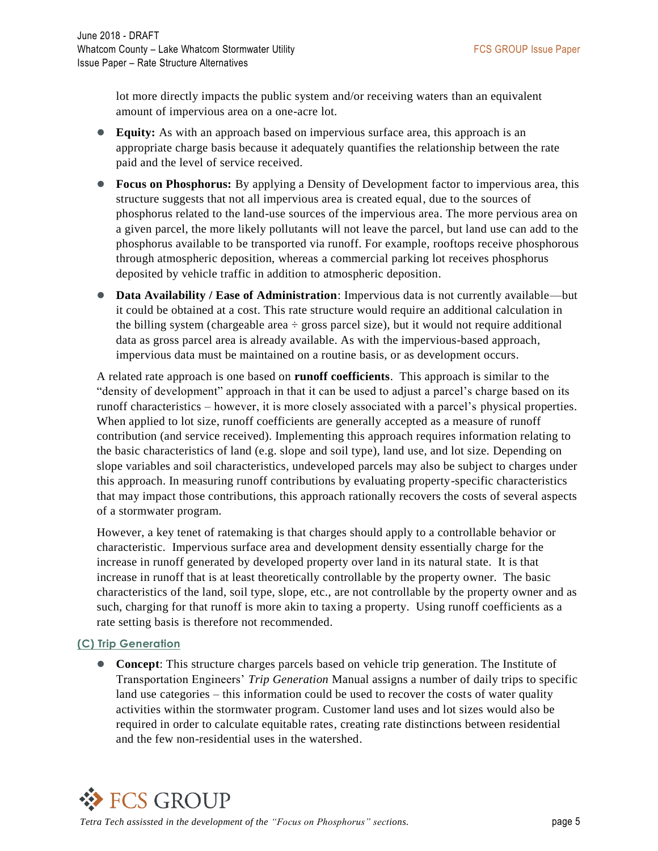lot more directly impacts the public system and/or receiving waters than an equivalent amount of impervious area on a one-acre lot.

- **Equity:** As with an approach based on impervious surface area, this approach is an appropriate charge basis because it adequately quantifies the relationship between the rate paid and the level of service received.
- **Focus on Phosphorus:** By applying a Density of Development factor to impervious area, this structure suggests that not all impervious area is created equal, due to the sources of phosphorus related to the land-use sources of the impervious area. The more pervious area on a given parcel, the more likely pollutants will not leave the parcel, but land use can add to the phosphorus available to be transported via runoff. For example, rooftops receive phosphorous through atmospheric deposition, whereas a commercial parking lot receives phosphorus deposited by vehicle traffic in addition to atmospheric deposition.
- **Data Availability / Ease of Administration**: Impervious data is not currently available—but it could be obtained at a cost. This rate structure would require an additional calculation in the billing system (chargeable area  $\div$  gross parcel size), but it would not require additional data as gross parcel area is already available. As with the impervious-based approach, impervious data must be maintained on a routine basis, or as development occurs.

A related rate approach is one based on **runoff coefficients**. This approach is similar to the "density of development" approach in that it can be used to adjust a parcel's charge based on its runoff characteristics – however, it is more closely associated with a parcel's physical properties. When applied to lot size, runoff coefficients are generally accepted as a measure of runoff contribution (and service received). Implementing this approach requires information relating to the basic characteristics of land (e.g. slope and soil type), land use, and lot size. Depending on slope variables and soil characteristics, undeveloped parcels may also be subject to charges under this approach. In measuring runoff contributions by evaluating property-specific characteristics that may impact those contributions, this approach rationally recovers the costs of several aspects of a stormwater program.

However, a key tenet of ratemaking is that charges should apply to a controllable behavior or characteristic. Impervious surface area and development density essentially charge for the increase in runoff generated by developed property over land in its natural state. It is that increase in runoff that is at least theoretically controllable by the property owner. The basic characteristics of the land, soil type, slope, etc., are not controllable by the property owner and as such, charging for that runoff is more akin to taxing a property. Using runoff coefficients as a rate setting basis is therefore not recommended.

#### **(C) Trip Generation**

**Concept:** This structure charges parcels based on vehicle trip generation. The Institute of Transportation Engineers' *Trip Generation* Manual assigns a number of daily trips to specific land use categories – this information could be used to recover the costs of water quality activities within the stormwater program. Customer land uses and lot sizes would also be required in order to calculate equitable rates, creating rate distinctions between residential and the few non-residential uses in the watershed.

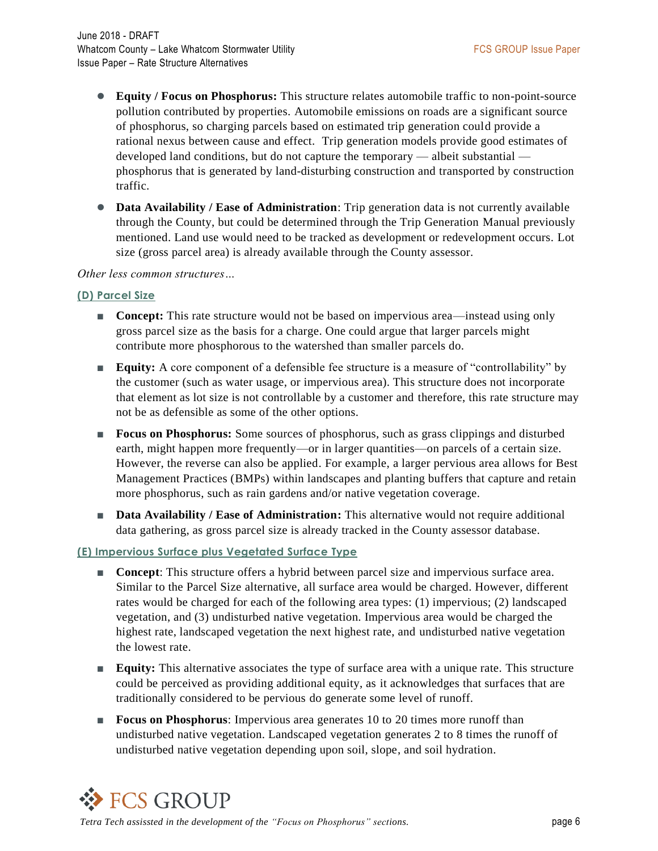- **Equity / Focus on Phosphorus:** This structure relates automobile traffic to non-point-source pollution contributed by properties. Automobile emissions on roads are a significant source of phosphorus, so charging parcels based on estimated trip generation could provide a rational nexus between cause and effect. Trip generation models provide good estimates of developed land conditions, but do not capture the temporary — albeit substantial phosphorus that is generated by land-disturbing construction and transported by construction traffic.
- **Data Availability / Ease of Administration**: Trip generation data is not currently available through the County, but could be determined through the Trip Generation Manual previously mentioned. Land use would need to be tracked as development or redevelopment occurs. Lot size (gross parcel area) is already available through the County assessor.

#### *Other less common structures…*

#### **(D) Parcel Size**

- **Concept:** This rate structure would not be based on impervious area—instead using only gross parcel size as the basis for a charge. One could argue that larger parcels might contribute more phosphorous to the watershed than smaller parcels do.
- **Equity:** A core component of a defensible fee structure is a measure of "controllability" by the customer (such as water usage, or impervious area). This structure does not incorporate that element as lot size is not controllable by a customer and therefore, this rate structure may not be as defensible as some of the other options.
- **Focus on Phosphorus:** Some sources of phosphorus, such as grass clippings and disturbed earth, might happen more frequently—or in larger quantities—on parcels of a certain size. However, the reverse can also be applied. For example, a larger pervious area allows for Best Management Practices (BMPs) within landscapes and planting buffers that capture and retain more phosphorus, such as rain gardens and/or native vegetation coverage.
- **Data Availability / Ease of Administration:** This alternative would not require additional data gathering, as gross parcel size is already tracked in the County assessor database.

#### **(E) Impervious Surface plus Vegetated Surface Type**

- **Concept**: This structure offers a hybrid between parcel size and impervious surface area. Similar to the Parcel Size alternative, all surface area would be charged. However, different rates would be charged for each of the following area types: (1) impervious; (2) landscaped vegetation, and (3) undisturbed native vegetation. Impervious area would be charged the highest rate, landscaped vegetation the next highest rate, and undisturbed native vegetation the lowest rate.
- **Equity:** This alternative associates the type of surface area with a unique rate. This structure could be perceived as providing additional equity, as it acknowledges that surfaces that are traditionally considered to be pervious do generate some level of runoff.
- **Focus on Phosphorus**: Impervious area generates 10 to 20 times more runoff than undisturbed native vegetation. Landscaped vegetation generates 2 to 8 times the runoff of undisturbed native vegetation depending upon soil, slope, and soil hydration.

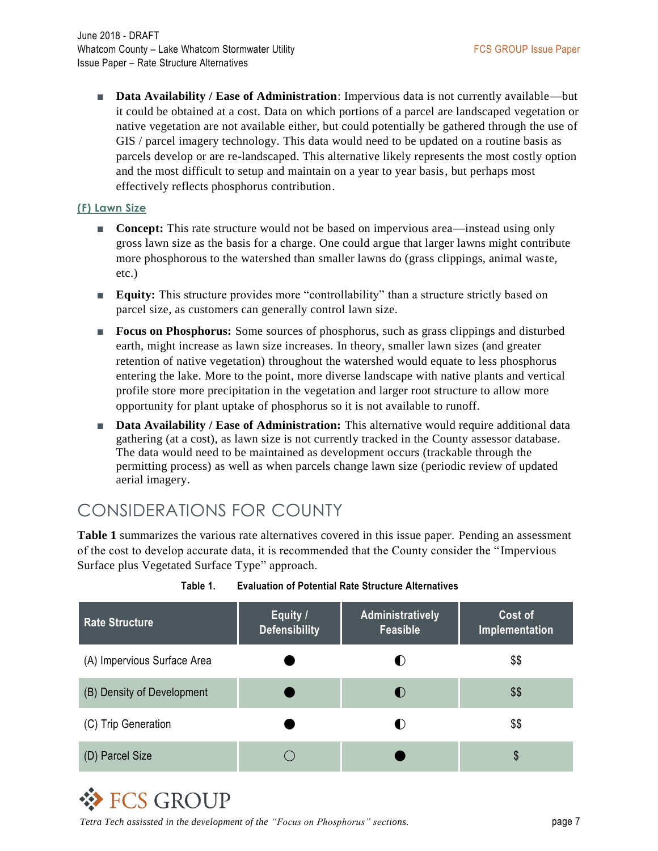■ **Data Availability / Ease of Administration**: Impervious data is not currently available—but it could be obtained at a cost. Data on which portions of a parcel are landscaped vegetation or native vegetation are not available either, but could potentially be gathered through the use of GIS / parcel imagery technology. This data would need to be updated on a routine basis as parcels develop or are re-landscaped. This alternative likely represents the most costly option and the most difficult to setup and maintain on a year to year basis, but perhaps most effectively reflects phosphorus contribution.

#### **(F) Lawn Size**

- **Concept:** This rate structure would not be based on impervious area—instead using only gross lawn size as the basis for a charge. One could argue that larger lawns might contribute more phosphorous to the watershed than smaller lawns do (grass clippings, animal waste, etc.)
- **Equity:** This structure provides more "controllability" than a structure strictly based on parcel size, as customers can generally control lawn size.
- **Focus on Phosphorus:** Some sources of phosphorus, such as grass clippings and disturbed earth, might increase as lawn size increases. In theory, smaller lawn sizes (and greater retention of native vegetation) throughout the watershed would equate to less phosphorus entering the lake. More to the point, more diverse landscape with native plants and vertical profile store more precipitation in the vegetation and larger root structure to allow more opportunity for plant uptake of phosphorus so it is not available to runoff.
- **Data Availability / Ease of Administration:** This alternative would require additional data gathering (at a cost), as lawn size is not currently tracked in the County assessor database. The data would need to be maintained as development occurs (trackable through the permitting process) as well as when parcels change lawn size (periodic review of updated aerial imagery.

### CONSIDERATIONS FOR COUNTY

**Table 1** summarizes the various rate alternatives covered in this issue paper. Pending an assessment of the cost to develop accurate data, it is recommended that the County consider the "Impervious Surface plus Vegetated Surface Type" approach.

| <b>Rate Structure</b>       | Equity /<br><b>Defensibility</b> | Administratively<br>Feasible | Cost of<br>Implementation |
|-----------------------------|----------------------------------|------------------------------|---------------------------|
| (A) Impervious Surface Area |                                  | $\bullet$                    | \$\$                      |
| (B) Density of Development  |                                  | $\bullet$                    | \$\$                      |
| (C) Trip Generation         |                                  | $\bullet$                    | \$\$                      |
| (D) Parcel Size             |                                  |                              | \$                        |

**Table 1. Evaluation of Potential Rate Structure Alternatives**